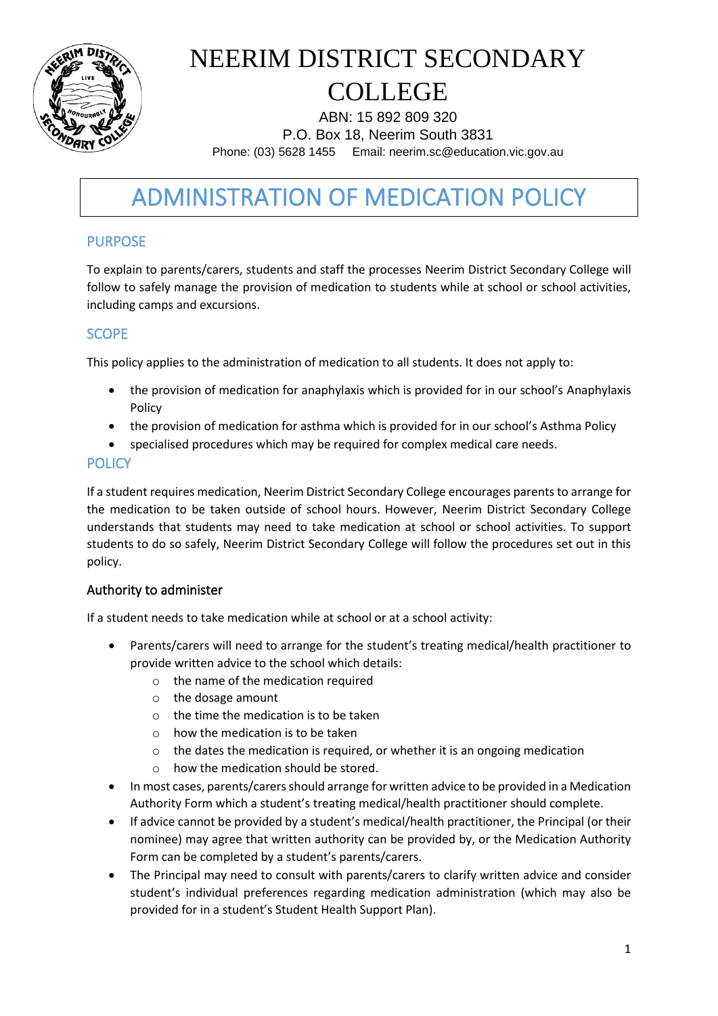

ABN: 15 892 809 320 P.O. Box 18, Neerim South 3831 Phone: (03) 5628 1455 Email: neerim.sc@education.vic.gov.au

# ADMINISTRATION OF MEDICATION POLICY

### PURPOSE

To explain to parents/carers, students and staff the processes Neerim District Secondary College will follow to safely manage the provision of medication to students while at school or school activities, including camps and excursions.

#### **SCOPE**

This policy applies to the administration of medication to all students. It does not apply to:

- the provision of medication for anaphylaxis which is provided for in our school's Anaphylaxis Policy
- the provision of medication for asthma which is provided for in our school's Asthma Policy
- specialised procedures which may be required for complex medical care needs.

#### **POLICY**

If a student requires medication, Neerim District Secondary College encourages parents to arrange for the medication to be taken outside of school hours. However, Neerim District Secondary College understands that students may need to take medication at school or school activities. To support students to do so safely, Neerim District Secondary College will follow the procedures set out in this policy.

#### Authority to administer

If a student needs to take medication while at school or at a school activity:

- Parents/carers will need to arrange for the student's treating medical/health practitioner to provide written advice to the school which details:
	- o the name of the medication required
	- o the dosage amount
	- o the time the medication is to be taken
	- o how the medication is to be taken
	- o the dates the medication is required, or whether it is an ongoing medication
	- o how the medication should be stored.
- In most cases, parents/carers should arrange for written advice to be provided in a Medication Authority Form which a student's treating medical/health practitioner should complete.
- If advice cannot be provided by a student's medical/health practitioner, the Principal (or their nominee) may agree that written authority can be provided by, or the Medication Authority Form can be completed by a student's parents/carers.
- The Principal may need to consult with parents/carers to clarify written advice and consider student's individual preferences regarding medication administration (which may also be provided for in a student's Student Health Support Plan).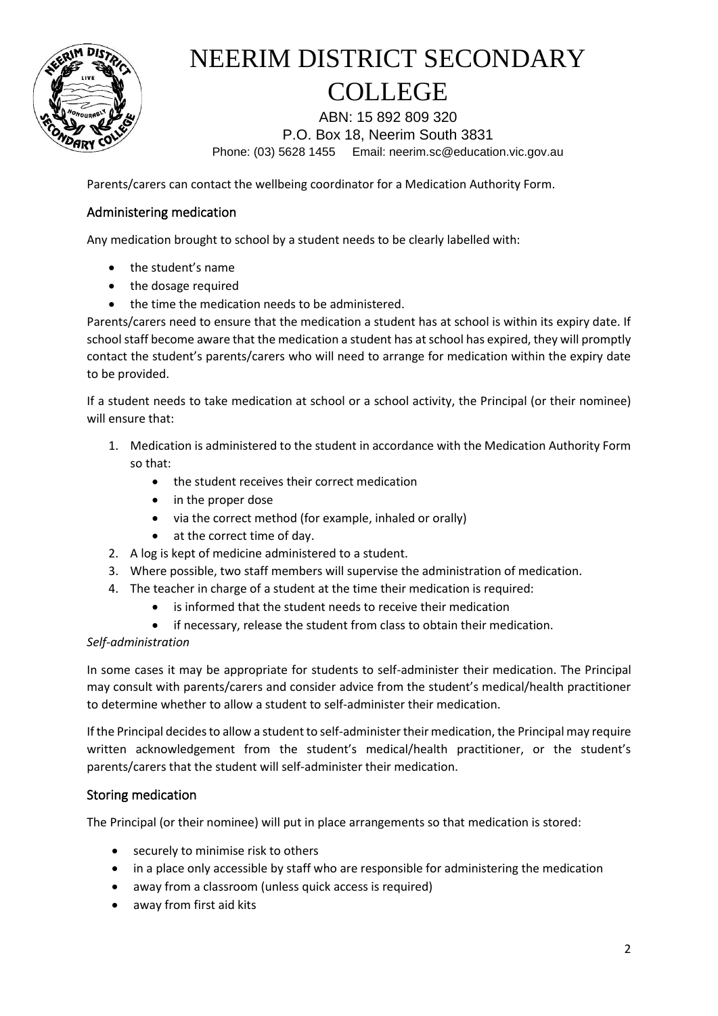

ABN: 15 892 809 320 P.O. Box 18, Neerim South 3831 Phone: (03) 5628 1455 Email: neerim.sc@education.vic.gov.au

Parents/carers can contact the wellbeing coordinator for a Medication Authority Form.

#### Administering medication

Any medication brought to school by a student needs to be clearly labelled with:

- the student's name
- the dosage required
- the time the medication needs to be administered.

Parents/carers need to ensure that the medication a student has at school is within its expiry date. If school staff become aware that the medication a student has at school has expired, they will promptly contact the student's parents/carers who will need to arrange for medication within the expiry date to be provided.

If a student needs to take medication at school or a school activity, the Principal (or their nominee) will ensure that:

- 1. Medication is administered to the student in accordance with the Medication Authority Form so that:
	- the student receives their correct medication
	- in the proper dose
	- via the correct method (for example, inhaled or orally)
	- at the correct time of day.
- 2. A log is kept of medicine administered to a student.
- 3. Where possible, two staff members will supervise the administration of medication.
- 4. The teacher in charge of a student at the time their medication is required:
	- is informed that the student needs to receive their medication
	- if necessary, release the student from class to obtain their medication.

#### *Self-administration*

In some cases it may be appropriate for students to self-administer their medication. The Principal may consult with parents/carers and consider advice from the student's medical/health practitioner to determine whether to allow a student to self-administer their medication.

If the Principal decides to allow a student to self-administer their medication, the Principal may require written acknowledgement from the student's medical/health practitioner, or the student's parents/carers that the student will self-administer their medication.

#### Storing medication

The Principal (or their nominee) will put in place arrangements so that medication is stored:

- securely to minimise risk to others
- in a place only accessible by staff who are responsible for administering the medication
- away from a classroom (unless quick access is required)
- away from first aid kits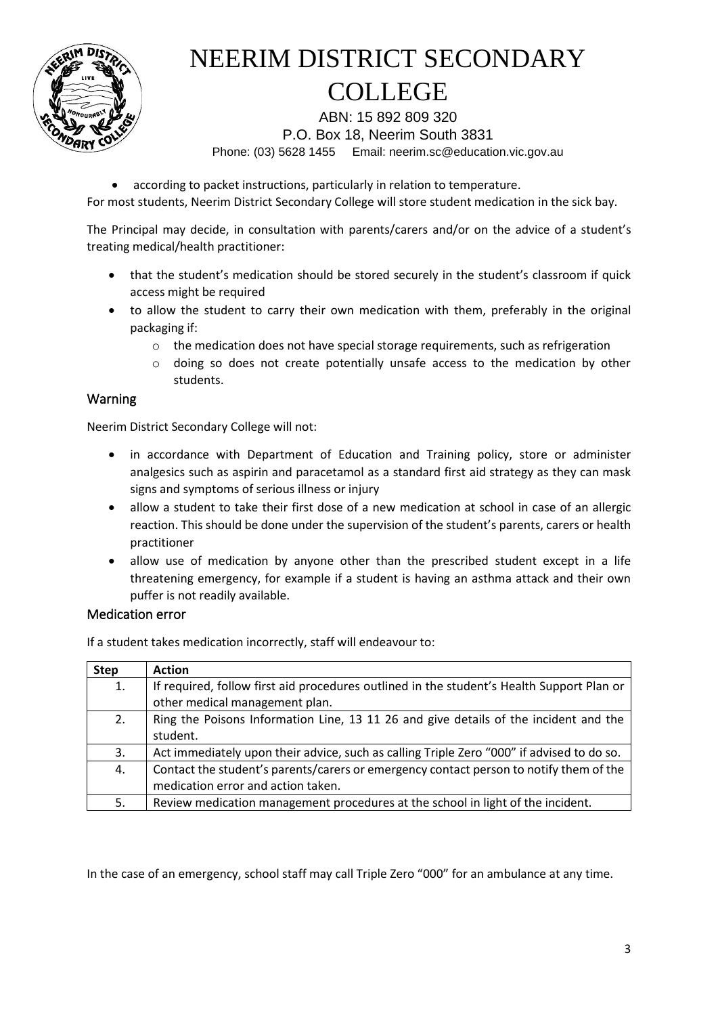

ABN: 15 892 809 320 P.O. Box 18, Neerim South 3831 Phone: (03) 5628 1455 Email: neerim.sc@education.vic.gov.au

• according to packet instructions, particularly in relation to temperature.

For most students, Neerim District Secondary College will store student medication in the sick bay.

The Principal may decide, in consultation with parents/carers and/or on the advice of a student's treating medical/health practitioner:

- that the student's medication should be stored securely in the student's classroom if quick access might be required
- to allow the student to carry their own medication with them, preferably in the original packaging if:
	- $\circ$  the medication does not have special storage requirements, such as refrigeration
	- o doing so does not create potentially unsafe access to the medication by other students.

#### Warning

Neerim District Secondary College will not:

- in accordance with Department of Education and Training policy, store or administer analgesics such as aspirin and paracetamol as a standard first aid strategy as they can mask signs and symptoms of serious illness or injury
- allow a student to take their first dose of a new medication at school in case of an allergic reaction. This should be done under the supervision of the student's parents, carers or health practitioner
- allow use of medication by anyone other than the prescribed student except in a life threatening emergency, for example if a student is having an asthma attack and their own puffer is not readily available.

#### Medication error

If a student takes medication incorrectly, staff will endeavour to:

| <b>Step</b> | <b>Action</b>                                                                             |
|-------------|-------------------------------------------------------------------------------------------|
| 1.          | If required, follow first aid procedures outlined in the student's Health Support Plan or |
|             | other medical management plan.                                                            |
| 2.          | Ring the Poisons Information Line, 13 11 26 and give details of the incident and the      |
|             | student.                                                                                  |
| 3.          | Act immediately upon their advice, such as calling Triple Zero "000" if advised to do so. |
| 4.          | Contact the student's parents/carers or emergency contact person to notify them of the    |
|             | medication error and action taken.                                                        |
| 5.          | Review medication management procedures at the school in light of the incident.           |

In the case of an emergency, school staff may call Triple Zero "000" for an ambulance at any time.